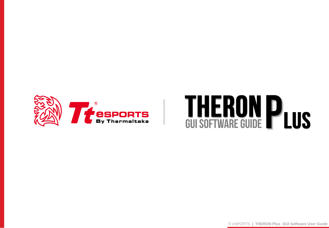

# WA THERON PLUS

Tt eSPORTS **| THERON Plus GUI Software User Guide**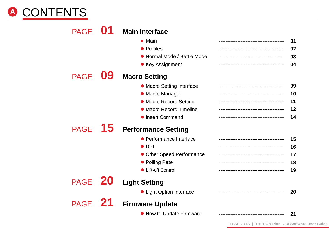# CONTENTS **A**

| <b>PAGE</b> |           | <b>Main Interface</b><br>• Main<br>• Profiles<br>• Normal Mode / Battle Mode<br>• Key Assignment                                                     | 01<br>02<br>03<br>04       |
|-------------|-----------|------------------------------------------------------------------------------------------------------------------------------------------------------|----------------------------|
| <b>PAGE</b> | 09        | <b>Macro Setting</b><br>• Macro Setting Interface<br>• Macro Manager<br>• Macro Record Setting<br>• Macro Record Timeline<br><b>• Insert Command</b> | 09<br>10<br>11<br>12<br>14 |
| <b>PAGE</b> | 15        | <b>Performance Setting</b><br>• Performance Interface<br>$\bullet$ DPI<br>• Other Speed Performance<br>• Polling Rate<br>• Lift-off Control          | 15<br>16<br>17<br>18<br>19 |
| <b>PAGE</b> | <b>ZU</b> | <b>Light Setting</b><br>• Light Option Interface                                                                                                     | 20                         |
| PAGE 21     |           | <b>Firmware Update</b><br>• How to Update Firmware                                                                                                   | 21                         |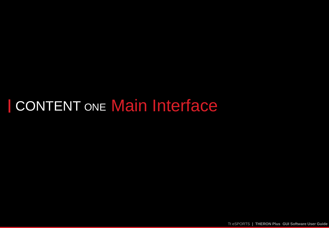# CONTENT ONE Main Interface

Tt eSPORTS **| THERON Plus GUI Software User Guide**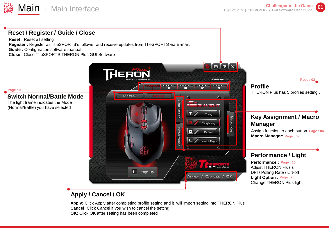**01**



# **Apply / Cancel / OK**

**Apply:** Click Apply after completing profile setting and it will import setting into THERON Plus **Cancel:** Click Cancel if you wish to cancel the setting **OK:** Click OK after setting has been completed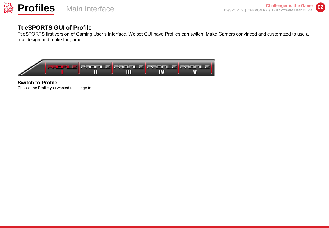# **Tt eSPORTS GUI of Profile**

Tt eSPORTS first version of Gaming User's Interface. We set GUI have Profiles can switch. Make Gamers convinced and customized to use a real design and make for gamer.



**Switch to Profile** Choose the Profile you wanted to change to.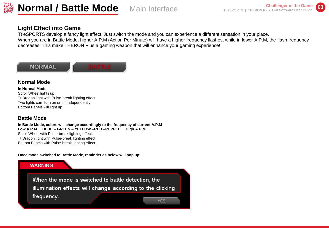

# **Light Effect into Game**

Tt eSPORTS develop a fancy light effect. Just switch the mode and you can experience a different sensation in your place. When you are in Battle Mode, higher A.P.M (Action Per Minute) will have a higher frequency flashes, while in lower A.P.M, the flash frequency decreases. This make THERON Plus a gaming weapon that will enhance your gaming experience!



#### **Normal Mode**

**In Normal Mode**  Scroll Wheel lights up. Tt Dragon light with Pulse-break lighting effect. Two lights can turn on or off independently. Bottom Panels will light up.

#### **Battle Mode**

**In Battle Mode, colors will change accordingly to the frequency of current A.P.M Low A.P.M BLUE – GREEN – YELLOW –RED –PUPPLE High A.P.M** Scroll Wheel with Pulse-break lighting effect. Tt Dragon light with Pulse-break lighting effect. Bottom Panels with Pulse-break lighting effect.

**Once mode switched to Battle Mode, reminder as below will pop up:**



When the mode is switched to battle detection, the illumination effects will change according to the clicking frequency. YES.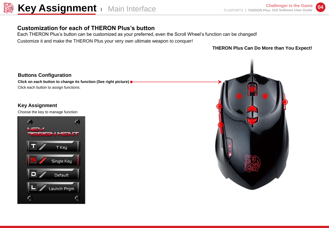

# **Customization for each of THERON Plus's button**

Each THERON Plus's button can be customized as your preferred, even the Scroll Wheel's function can be changed! Customize it and make the THERON Plus your very own ultimate weapon to conquer!

**THERON Plus Can Do More than You Expect!**

**Buttons Configuration Click on each button to change its function (See right picture)** Click each button to assign functions.

#### **Key Assignment**

Choose the key to manage function



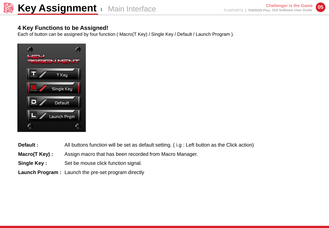### **4 Key Functions to be Assigned!**

Each of button can be assigned by four function ( Macro(T Key) / Single Key / Default / Launch Program ).



- **Default :**  All buttons function will be set as default setting. ( i.g : Left button as the Click action)
- **Macro(T Key) :**  Assign macro that has been recorded from Macro Manager.
- **Single Key :**  Set be mouse click function signal.
- Launch Program: Launch the pre-set program directly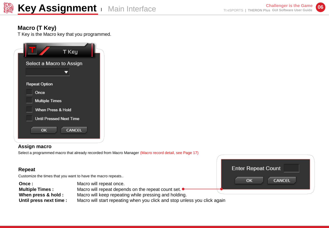

**Enter Repeat Count** 

 $\alpha$ 

**CANCEL** 

# **Macro (T Key)**

T Key is the Macro key that you programmed.

| T Key                                                 |
|-------------------------------------------------------|
| Select a Macro to Assign                              |
| <b>Repeat Option</b><br>Once                          |
| <b>Multiple Times</b><br>When Press & Hold            |
| <b>Until Pressed Next Time</b><br><b>CANCEL</b><br>OK |

#### **Assign macro**

Select a programmed macro that already recorded from Macro Manager (Macro record detail, see Page 17)

#### **Repeat**

Customize the times that you want to have the macro repeats..

| Once :                  | $\sim$<br>Macro will repeat once.                                         |  |
|-------------------------|---------------------------------------------------------------------------|--|
| <b>Multiple Times:</b>  | Macro will repeat depends on the repeat count set.                        |  |
| When press & hold :     | Macro will keep repeating while pressing and holding.                     |  |
| Until press next time : | Macro will start repeating when you click and stop unless you click again |  |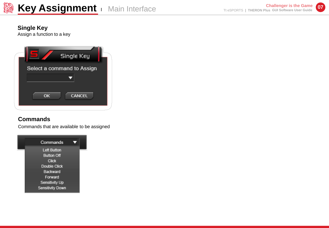

# **Single Key**

Assign a function to a key



# **Commands**

Commands that are available to be assigned

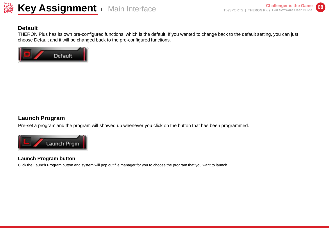

## **Default**

THERON Plus has its own pre-configured functions, which is the default. If you wanted to change back to the default setting, you can just choose Default and it will be changed back to the pre-configured functions.



# **Launch Program**

Pre-set a program and the program will showed up whenever you click on the button that has been programmed.



#### **Launch Program button**

Click the Launch Program button and system will pop out file manager for you to choose the program that you want to launch.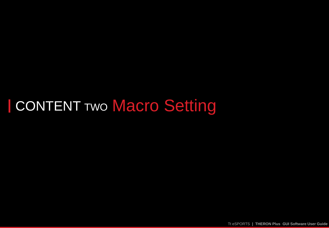# **CONTENT TWO Macro Setting**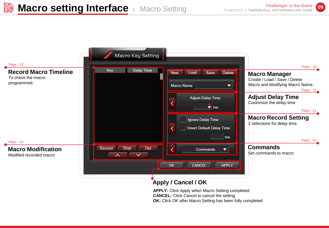

# **Apply / Cancel / OK**

**APPLY:** Click Apply when Macro Setting completed **CANCEL:** Click Cancel to cancel the setting **OK:** Click OK after Macro Setting has been fully completed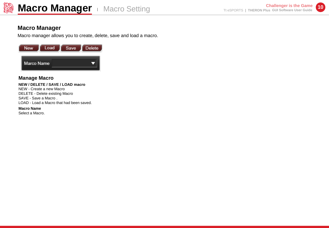

#### **Macro Manager**

Macro manager allows you to create, delete, save and load a macro.



#### **Manage Macro**

#### **NEW / DELETE / SAVE / LOAD macro**

NEW - Create a new Macro DELETE - Delete existing Macro SAVE - Save a Macro . LOAD - Load a Macro that had been saved.

#### **Macro Name**

Select a Macro.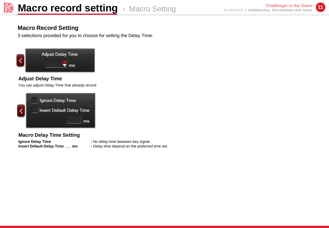# **Macro Record Setting**

3 selections provided for you to choose for setting the Delay Time.



#### **Adjust Delay Time**

You can adjust Delay Time that already record

| Ignore Delay Time         |    |
|---------------------------|----|
| Insert Default Delay Time |    |
|                           | ms |

#### **Macro Delay Time Setting**

**Ignore Delay Time**  $\qquad \qquad$  **: No delay time between key signal.** 

- 
- **Insert Default Delay Time \_\_\_ ms : Delay time depend on the preferred time set.**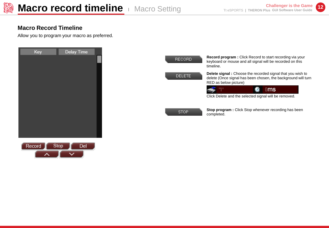# **Macro Record Timeline**

Allow you to program your macro as preferred.

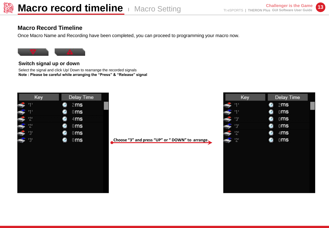## **Macro Record Timeline**

Once Macro Name and Recording have been completed, you can proceed to programming your macro now.



#### **Switch signal up or down**

Select the signal and click Up/ Down to rearrange the recorded signals **Note : Please be careful while arranging the "Press" & "Release" signal**



**Choose "3" and press "UP" or " DOWN" to arrange** 

| Key            | Delay Time      |
|----------------|-----------------|
| 1 <sup>1</sup> | 2 <sub>ms</sub> |
| י די           | 0 <sub>ms</sub> |
| '3'            | 0 <sub>ms</sub> |
| '3'            | 0 <sub>ms</sub> |
| '2'            | 4 <sub>ms</sub> |
| '2'            | 0 <sub>ms</sub> |
|                |                 |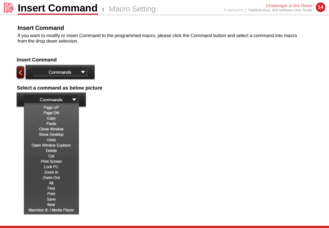

### **Insert Command**

If you want to modify or insert Command to the programmed macro, please click the Command button and select a command into macro from the drop down selection.

#### **Insert Command**



#### **Select a command as below picture**

| Commands                  |
|---------------------------|
| Page UP                   |
| Page DN                   |
| Copy                      |
| Paste                     |
| Close Window              |
| Show Desktop              |
| Undo                      |
| Open Window Explorer      |
| Delete                    |
| Cut                       |
| <b>Print Screen</b>       |
| Lock PC                   |
| Zoom In                   |
| Zoom Out                  |
| All                       |
| Find                      |
| Print                     |
| Save                      |
| <b>New</b>                |
| Maxmize IE / Media Player |
|                           |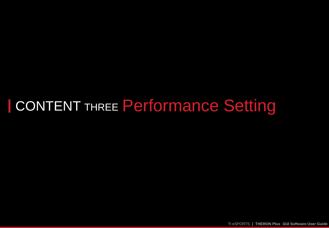# CONTENT THREE Performance Setting

Tt eSPORTS **| THERON Plus GUI Software User Guide**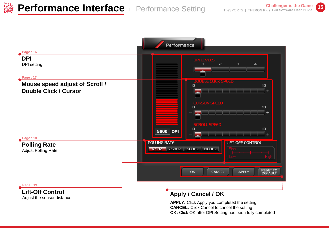

#### **Lift-Off Control** Adjust the sensor distance

# **Apply / Cancel / OK**

**APPLY:** Click Apply you completed the setting **CANCEL:** Click Cancel to cancel the setting **OK:** Click OK after DPI Setting has been fully completed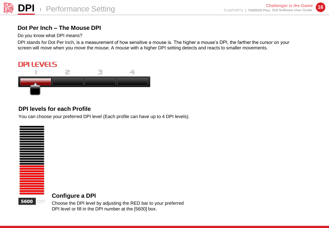# **Dot Per Inch – The Mouse DPI**

Do you know what DPI means?

DPI stands for Dot Per Inch, is a measurement of how sensitive a mouse is. The higher a mouse's DPI, the farther the cursor on your screen will move when you move the mouse. A mouse with a higher DPI setting detects and reacts to smaller movements.

# **DPI LEVELS**



# **DPI levels for each Profile**

You can choose your preferred DPI level (Each profile can have up to 4 DPI levels).



#### **Configure a DPI**

Choose the DPI level by adjusting the RED bar to your preferred DPI level or fill in the DPI number at the [5600] box.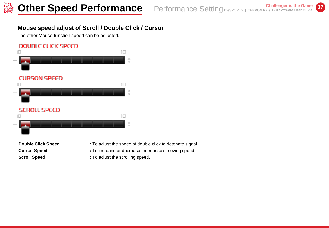# **Mouse speed adjust of Scroll / Double Click / Cursor**

The other Mouse function speed can be adjusted.

# **DOUBLE CLICK SPEED**



- **Double Click Speed** : To adjust the speed of double click to detonate signal.
- **Cursor Speed : To increase or decrease the mouse's moving speed.**
- **Scroll Speed :** To adjust the scrolling speed.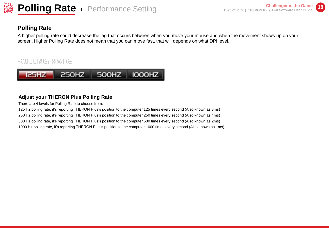# **Polling Rate**

A higher polling rate could decrease the lag that occurs between when you move your mouse and when the movement shows up on your screen. Higher Polling Rate does not mean that you can move fast, that will depends on what DPI level.



#### **Adjust your THERON Plus Polling Rate**

There are 4 levels for Polling Rate to choose from:

125 Hz polling rate, it's reporting THERON Plus's position to the computer 125 times every second (Also known as 8ms) 250 Hz polling rate, it's reporting THERON Plus's position to the computer 250 times every second (Also known as 4ms) 500 Hz polling rate, it's reporting THERON Plus's position to the computer 500 times every second (Also known as 2ms) 1000 Hz polling rate, it's reporting THERON Plus's position to the computer 1000 times every second (Also known as 1ms)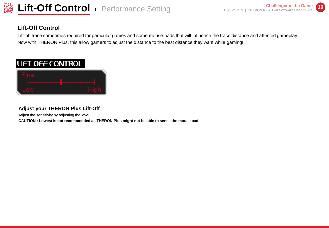

# **Lift-Off Control**

Lift-off trace sometimes required for particular games and some mouse-pads that will influence the trace distance and affected gameplay. Now with THERON Plus, this allow gamers to adjust the distance to the best distance they want while gaming!

# **LIFT-OFF CONTROL**



## **Adjust your THERON Plus Lift-Off**

Adjust the sensitivity by adjusting the level.

**CAUTION : Lowest is not recommended as THERON Plus might not be able to sense the mouse pad.**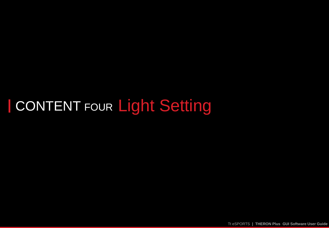# CONTENT FOUR Light Setting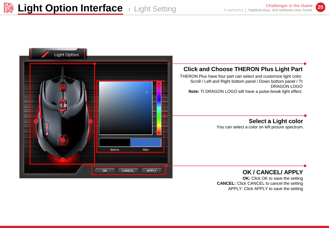

**CANCEL:** Click CANCEL to cancel the setting APPLY: Click APPLY to save the setting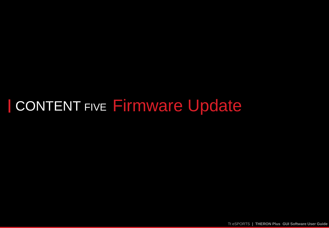# **CONTENT FIVE Firmware Update**